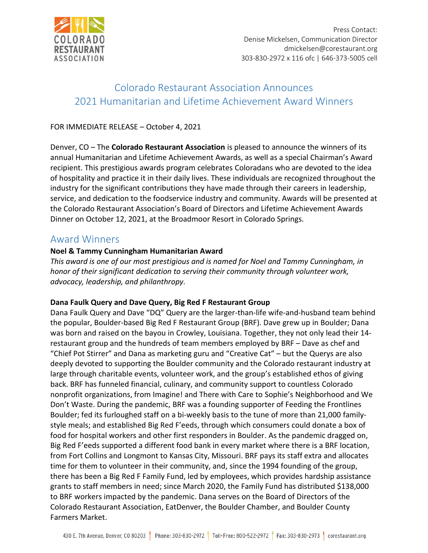

# Colorado Restaurant Association Announces 2021 Humanitarian and Lifetime Achievement Award Winners

# FOR IMMEDIATE RELEASE – October 4, 2021

Denver, CO – The **Colorado Restaurant Association** is pleased to announce the winners of its annual Humanitarian and Lifetime Achievement Awards, as well as a special Chairman's Award recipient. This prestigious awards program celebrates Coloradans who are devoted to the idea of hospitality and practice it in their daily lives. These individuals are recognized throughout the industry for the significant contributions they have made through their careers in leadership, service, and dedication to the foodservice industry and community. Awards will be presented at the Colorado Restaurant Association's Board of Directors and Lifetime Achievement Awards Dinner on October 12, 2021, at the Broadmoor Resort in Colorado Springs.

# Award Winners

# **Noel & Tammy Cunningham Humanitarian Award**

*This award is one of our most prestigious and is named for Noel and Tammy Cunningham, in honor of their significant dedication to serving their community through volunteer work, advocacy, leadership, and philanthropy.*

# **Dana Faulk Query and Dave Query, Big Red F Restaurant Group**

Dana Faulk Query and Dave "DQ" Query are the larger-than-life wife-and-husband team behind the popular, Boulder-based Big Red F Restaurant Group (BRF). Dave grew up in Boulder; Dana was born and raised on the bayou in Crowley, Louisiana. Together, they not only lead their 14 restaurant group and the hundreds of team members employed by BRF – Dave as chef and "Chief Pot Stirrer" and Dana as marketing guru and "Creative Cat" – but the Querys are also deeply devoted to supporting the Boulder community and the Colorado restaurant industry at large through charitable events, volunteer work, and the group's established ethos of giving back. BRF has funneled financial, culinary, and community support to countless Colorado nonprofit organizations, from Imagine! and There with Care to Sophie's Neighborhood and We Don't Waste. During the pandemic, BRF was a founding supporter of Feeding the Frontlines Boulder; fed its furloughed staff on a bi-weekly basis to the tune of more than 21,000 familystyle meals; and established Big Red F'eeds, through which consumers could donate a box of food for hospital workers and other first responders in Boulder. As the pandemic dragged on, Big Red F'eeds supported a different food bank in every market where there is a BRF location, from Fort Collins and Longmont to Kansas City, Missouri. BRF pays its staff extra and allocates time for them to volunteer in their community, and, since the 1994 founding of the group, there has been a Big Red F Family Fund, led by employees, which provides hardship assistance grants to staff members in need; since March 2020, the Family Fund has distributed \$138,000 to BRF workers impacted by the pandemic. Dana serves on the Board of Directors of the Colorado Restaurant Association, EatDenver, the Boulder Chamber, and Boulder County Farmers Market.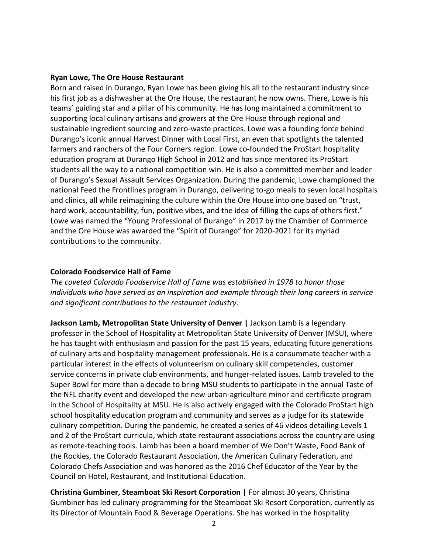#### **Ryan Lowe, The Ore House Restaurant**

Born and raised in Durango, Ryan Lowe has been giving his all to the restaurant industry since his first job as a dishwasher at the Ore House, the restaurant he now owns. There, Lowe is his teams' guiding star and a pillar of his community. He has long maintained a commitment to supporting local culinary artisans and growers at the Ore House through regional and sustainable ingredient sourcing and zero-waste practices. Lowe was a founding force behind Durango's iconic annual Harvest Dinner with Local First, an even that spotlights the talented farmers and ranchers of the Four Corners region. Lowe co-founded the ProStart hospitality education program at Durango High School in 2012 and has since mentored its ProStart students all the way to a national competition win. He is also a committed member and leader of Durango's Sexual Assault Services Organization. During the pandemic, Lowe championed the national Feed the Frontlines program in Durango, delivering to-go meals to seven local hospitals and clinics, all while reimagining the culture within the Ore House into one based on "trust, hard work, accountability, fun, positive vibes, and the idea of filling the cups of others first." Lowe was named the "Young Professional of Durango" in 2017 by the Chamber of Commerce and the Ore House was awarded the "Spirit of Durango" for 2020-2021 for its myriad contributions to the community.

# **Colorado Foodservice Hall of Fame**

*The coveted Colorado Foodservice Hall of Fame was established in 1978 to honor those individuals who have served as an inspiration and example through their long careers in service and significant contributions to the restaurant industry*.

**Jackson Lamb, Metropolitan State University of Denver |** Jackson Lamb is a legendary professor in the School of Hospitality at Metropolitan State University of Denver (MSU), where he has taught with enthusiasm and passion for the past 15 years, educating future generations of culinary arts and hospitality management professionals. He is a consummate teacher with a particular interest in the effects of volunteerism on culinary skill competencies, customer service concerns in private club environments, and hunger-related issues. Lamb traveled to the Super Bowl for more than a decade to bring MSU students to participate in the annual Taste of the NFL charity event and developed the new urban-agriculture minor and certificate program in the School of Hospitality at MSU. He is also actively engaged with the Colorado ProStart high school hospitality education program and community and serves as a judge for its statewide culinary competition. During the pandemic, he created a series of 46 videos detailing Levels 1 and 2 of the ProStart curricula, which state restaurant associations across the country are using as remote-teaching tools. Lamb has been a board member of We Don't Waste, Food Bank of the Rockies, the Colorado Restaurant Association, the American Culinary Federation, and Colorado Chefs Association and was honored as the 2016 Chef Educator of the Year by the Council on Hotel, Restaurant, and Institutional Education.

**Christina Gumbiner, Steamboat Ski Resort Corporation |** For almost 30 years, Christina Gumbiner has led culinary programming for the Steamboat Ski Resort Corporation, currently as its Director of Mountain Food & Beverage Operations. She has worked in the hospitality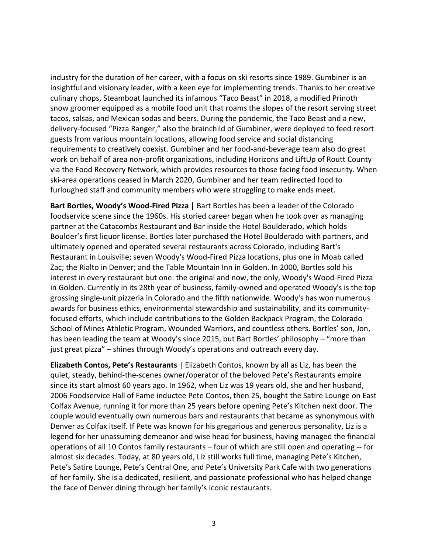industry for the duration of her career, with a focus on ski resorts since 1989. Gumbiner is an insightful and visionary leader, with a keen eye for implementing trends. Thanks to her creative culinary chops, Steamboat launched its infamous "Taco Beast" in 2018, a modified Prinoth snow groomer equipped as a mobile food unit that roams the slopes of the resort serving street tacos, salsas, and Mexican sodas and beers. During the pandemic, the Taco Beast and a new, delivery-focused "Pizza Ranger," also the brainchild of Gumbiner, were deployed to feed resort guests from various mountain locations, allowing food service and social distancing requirements to creatively coexist. Gumbiner and her food-and-beverage team also do great work on behalf of area non-profit organizations, including Horizons and LiftUp of Routt County via the Food Recovery Network, which provides resources to those facing food insecurity. When ski-area operations ceased in March 2020, Gumbiner and her team redirected food to furloughed staff and community members who were struggling to make ends meet.

**Bart Bortles, Woody's Wood-Fired Pizza |** Bart Bortles has been a leader of the Colorado foodservice scene since the 1960s. His storied career began when he took over as managing partner at the Catacombs Restaurant and Bar inside the Hotel Boulderado, which holds Boulder's first liquor license. Bortles later purchased the Hotel Boulderado with partners, and ultimately opened and operated several restaurants across Colorado, including Bart's Restaurant in Louisville; seven Woody's Wood-Fired Pizza locations, plus one in Moab called Zac; the Rialto in Denver; and the Table Mountain Inn in Golden. In 2000, Bortles sold his interest in every restaurant but one: the original and now, the only, Woody's Wood-Fired Pizza in Golden. Currently in its 28th year of business, family-owned and operated Woody's is the top grossing single-unit pizzeria in Colorado and the fifth nationwide. Woody's has won numerous awards for business ethics, environmental stewardship and sustainability, and its communityfocused efforts, which include contributions to the Golden Backpack Program, the Colorado School of Mines Athletic Program, Wounded Warriors, and countless others. Bortles' son, Jon, has been leading the team at Woody's since 2015, but Bart Bortles' philosophy – "more than just great pizza" – shines through Woody's operations and outreach every day.

**Elizabeth Contos, Pete's Restaurants** | Elizabeth Contos, known by all as Liz, has been the quiet, steady, behind-the-scenes owner/operator of the beloved Pete's Restaurants empire since its start almost 60 years ago. In 1962, when Liz was 19 years old, she and her husband, 2006 Foodservice Hall of Fame inductee Pete Contos, then 25, bought the Satire Lounge on East Colfax Avenue, running it for more than 25 years before opening Pete's Kitchen next door. The couple would eventually own numerous bars and restaurants that became as synonymous with Denver as Colfax itself. If Pete was known for his gregarious and generous personality, Liz is a legend for her unassuming demeanor and wise head for business, having managed the financial operations of all 10 Contos family restaurants – four of which are still open and operating -- for almost six decades. Today, at 80 years old, Liz still works full time, managing Pete's Kitchen, Pete's Satire Lounge, Pete's Central One, and Pete's University Park Cafe with two generations of her family. She is a dedicated, resilient, and passionate professional who has helped change the face of Denver dining through her family's iconic restaurants.